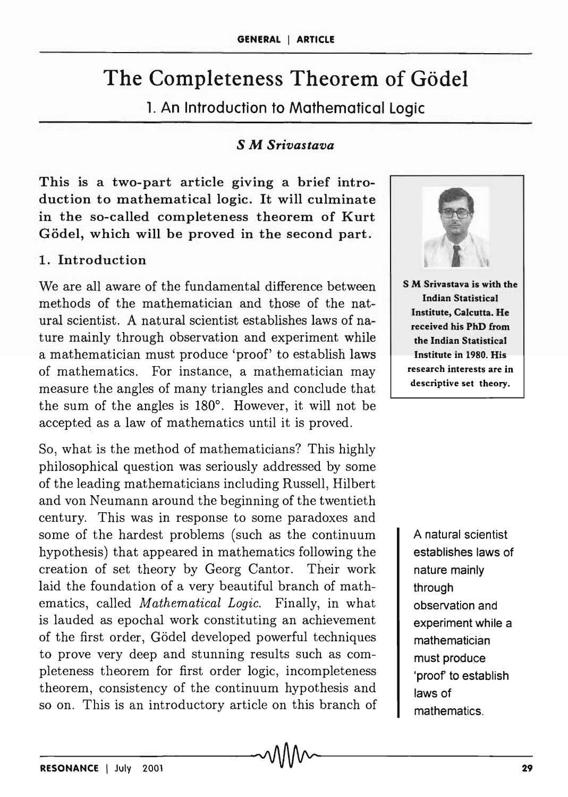# The Completeness Theorem of Gödel

1. An Introduction to Mathematical Logic

#### S M *Srivastava*

This is a two-part article giving a brief introduction to mathematical logic. It will culminate in the so-called completeness theorem of Kurt Gödel, which will be proved in the second part.

### 1. Introduction

We are all aware of the fundamental difference between methods of the mathematician and those of the natural scientist. A natural scientist establishes laws of nature mainly through observation and experiment while a mathematician must produce 'proof' to establish laws of mathematics. For instance, a mathematician may measure the angles of many triangles and conclude that the sum of the angles is  $180^\circ$ . However, it will not be accepted as a law of mathematics until it is proved.

So, what is the method of mathematicians? This highly philosophical question was seriously addressed by some of the leading mathematicians including Russell, Hilbert and von Neumann around the beginning of the twentieth century. This was in response to some paradoxes and some of the hardest problems (such as the continuum hypothesis) that appeared in mathematics following the creation of set theory by Georg Cantor. Their work laid the foundation of a very beautiful branch of mathematics, called *Mathematical Logic.* Finally, in what is lauded as epochal work constituting an achievement of the first order, G6del developed powerful techniques to prove very deep and stunning results such as completeness theorem for first order logic, incompleteness theorem, consistency of the continuum hypothesis and so on. This is an introductory article on this branch of



A natural scientist establishes laws of nature mainly through observation and experiment while a mathematician must produce 'proof to establish laws of mathematics.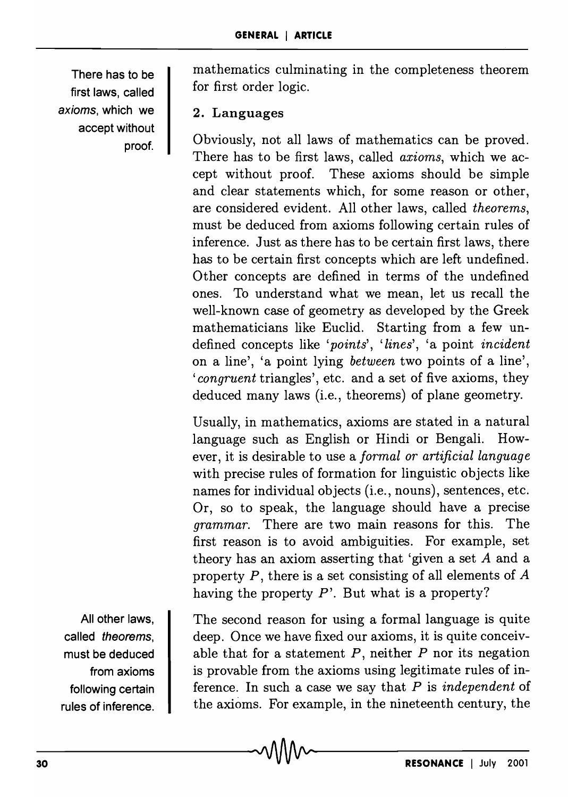There has to be first laws, called axioms, which we accept without proof.

mathematics culminating in the completeness theorem for first order logic.

## 2. Languages

Obviously, not all laws of mathematics can be proved. There has to be first laws, called *axioms,* which we accept without proof. These axioms should be simple and clear statements which, for some reason or other, are considered evident. All other laws, called *theorems,*  must be deduced from axioms following certain rules of inference. Just as there has to be certain first laws, there has to be certain first concepts which are left undefined. Other concepts are defined in terms of the undefined ones. To understand what we mean, let us recall the well-known case of geometry as developed by the Greek mathematicians like Euclid. Starting from a few undefined concepts like *'points', 'lines',* 'a point *incident*  on aline', 'a point lying *between* two points of a line', *'congruent* triangles', etc. and a set of five axioms, they deduced many laws (i.e., theorems) of plane geometry.

Usually, in mathematics, axioms are stated in a natural language such as English or Hindi or Bengali. However, it is desirable to use a *formal or artificial language*  with precise rules of formation for linguistic objects like names for individual objects (i.e., nouns), sentences, etc. Or, so to speak, the language should have a precise *grammar.* There are two main reasons for this. The first reason is to avoid ambiguities. For example, set theory has an axiom asserting that 'given a set A and a property  $P$ , there is a set consisting of all elements of  $A$ having the property P'. But what is a property?

All other laws, called theorems, must be deduced from axioms following certain rules of inference.

The second reason for using a formal language is quite deep. Once we have fixed our axioms, it is quite conceivable that for a statement *P,* neither *P* nor its negation is provable from the axioms using legitimate rules of inference. In such a case we say that *P* is *independent* of the axioms. For example, in the nineteenth century, the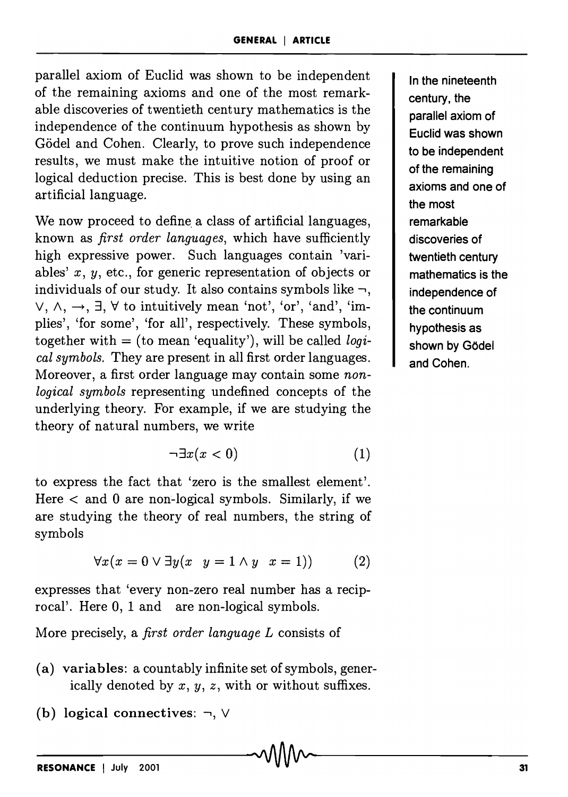parallel axiom of Euclid was shown to be independent of the remaining axioms and one of the most remarkable discoveries of twentieth century mathematics is the independence of the continuum hypothesis as shown by Gödel and Cohen. Clearly, to prove such independence results, we must make the intuitive notion of proof or logical deduction precise. This is best done by using an artificial language.

We now proceed to define a class of artificial languages, known as *first order languages,* which have sufficiently high expressive power. Such languages contain 'variables' *x, y,* etc., for generic representation of objects or individuals of our study. It also contains symbols like  $\neg$ ,  $\vee$ ,  $\wedge$ ,  $\rightarrow$ ,  $\exists$ ,  $\forall$  to intuitively mean 'not', 'or', 'and', 'implies', 'for some', 'for all', respectively. These symbols, together with = (to mean 'equality'), will be called *logical symbols.* They are present in all first order languages. Moreover, a first order language may contain some *nonlogical symbols* representing undefined concepts of the underlying theory. For example, if we are studying the theory of natural numbers, we write

$$
\neg \exists x (x < 0) \tag{1}
$$

to express the fact that 'zero is the smallest element'. Here  $\lt$  and 0 are non-logical symbols. Similarly, if we are studying the theory of real numbers, the string of symbols

$$
\forall x(x = 0 \lor \exists y(x \ y = 1 \land y \ x = 1)) \tag{2}
$$

expresses that 'every non-zero real number has a reciprocal'. Here 0, 1 and are non-logical symbols.

More precisely, a *first order language L* consists of

- (a) variables: a countably infinite set of symbols, generically denoted by *x, y, z,* with or without suffixes.
- (b) logical connectives:  $\neg$ ,  $\vee$

In the nineteenth century, the parallel axiom of Euclid was shown to be independent of the remaining axioms and one of the most remarkable discoveries of twentieth century mathematics is the independence of the continuum hypothesis as shown by Gödel and Cohen.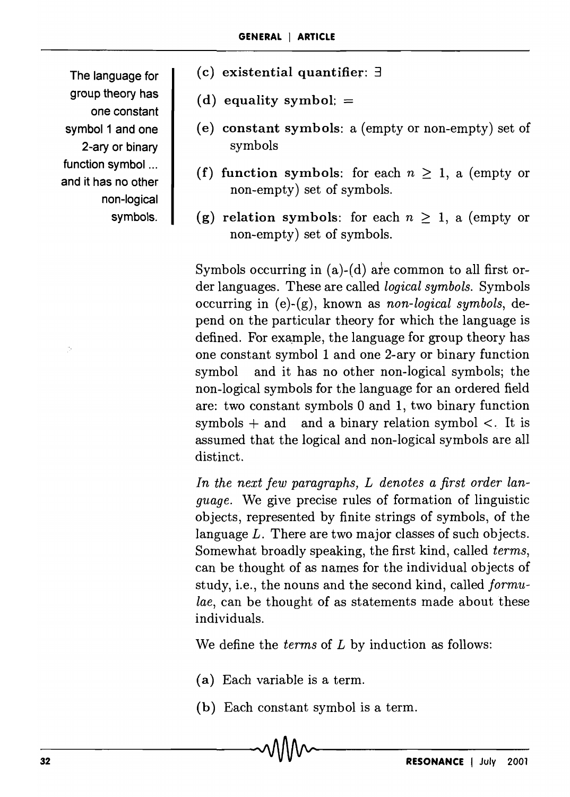The language for group theory has one constant symbol 1 and one 2-ary or binary function symbol ... and it has no other non-logical symbols.

- (c) existential quantifier:  $\exists$
- (d) equality symbol;  $=$
- (e) constant symbols: a (empty or non-empty) set of symbols
- (f) function symbols: for each  $n \geq 1$ , a (empty or non-empty) set of symbols.
- (g) relation symbols: for each  $n \geq 1$ , a (empty or non-empty) set of symbols.

Symbols occurring in  $(a)-(d)$  are common to all first order languages. These are called *logical symbols.* Symbols occurring in (e )-(g), known as *non-logical symbols,* depend on the particular theory for which the language is defined. For example, the language for group theory has one constant symbol 1 and one 2-ary or binary function symbol and it has no other non-logical symbols; the non-logical symbols for the language for an ordered field are: two constant symbols 0 and 1, two binary function symbols  $+$  and and a binary relation symbol  $\lt$ . It is assumed that the logical and non-logical symbols are all distinct.

*In the next few paragraphs, L denotes a first order language.* We give precise rules of formation of linguistic objects, represented by finite strings of symbols, of the language *L.* There are two major classes of such objects. Somewhat broadly speaking, the first kind, called *terms,*  can be thought of as names for the individual objects of study, i.e., the nouns and the second kind, called *formulae,* can be thought of as statements made about these individuals.

We define the *terms* of *L* by induction as follows:

- (a) Each variable is a term.
- (b) Each constant symbol is a term.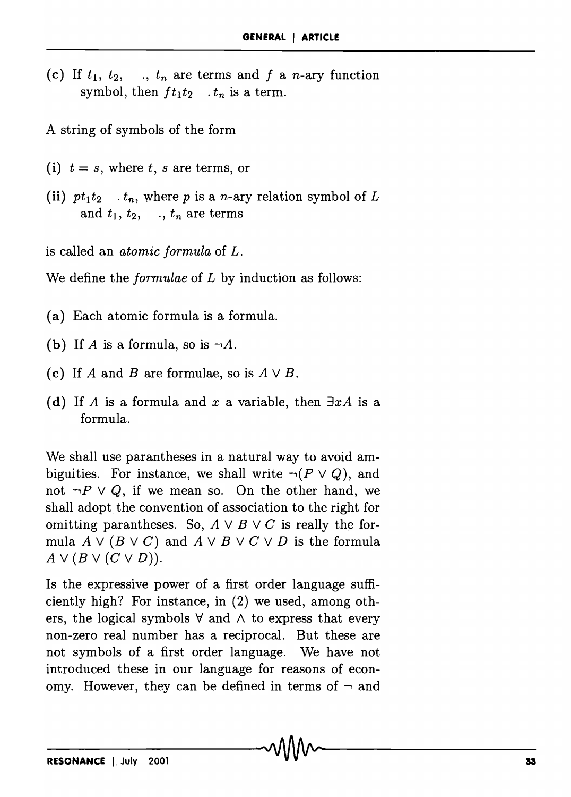(c) If  $t_1$ ,  $t_2$ , .,  $t_n$  are terms and f a n-ary function symbol, then  $ft_1t_2$  .  $t_n$  is a term.

A string of symbols of the form

- (i)  $t = s$ , where t, s are terms, or
- (ii)  $pt_1t_2$   $\ldots$ , where p is a n-ary relation symbol of L and  $t_1, t_2, \ldots, t_n$  are terms

is called an *atomic formula* of *L.* 

We define the *formulae* of *L* by induction as follows:

- (a) Each atomic formula is a formula.
- (b) If *A* is a formula, so is  $\neg A$ .
- (c) If *A* and *B* are formulae, so is  $A \vee B$ .
- (d) If *A* is a formula and *x* a variable, then  $\exists x A$  is a formula.

We shall use parantheses in a natural way to avoid ambiguities. For instance, we shall write  $\neg (P \lor Q)$ , and not  $\neg P \lor Q$ , if we mean so. On the other hand, we shall adopt the convention of association to the right for omitting parantheses. So,  $A \vee B \vee C$  is really the formula  $A \vee (B \vee C)$  and  $A \vee B \vee C \vee D$  is the formula  $A \vee (B \vee (C \vee D)).$ 

Is the expressive power of a first order language sufficiently high? For instance, in (2) we used, among others, the logical symbols  $\forall$  and  $\wedge$  to express that every non-zero real number has a reciprocal. But these are not symbols of a first order language. We have not introduced these in our language for reasons of economy. However, they can be defined in terms of  $\neg$  and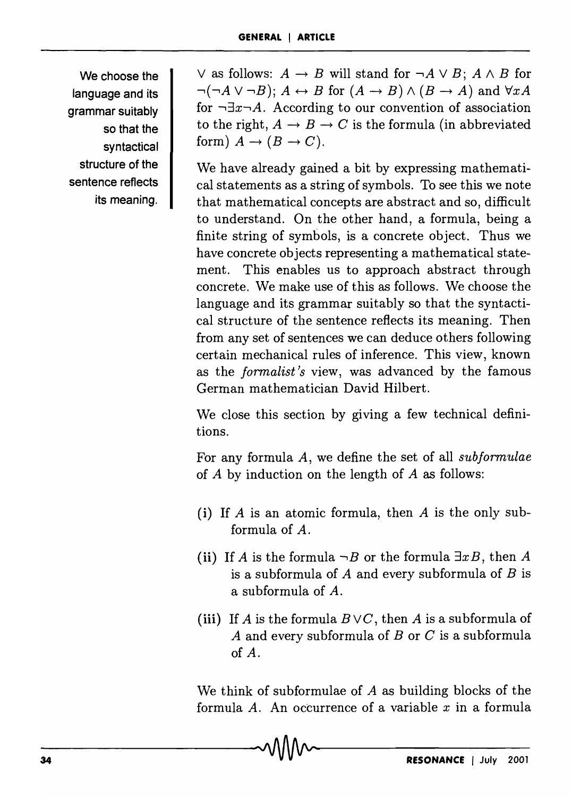We choose the language and its grammar suitably so that the syntactical structure of the sentence reflects its meaning.  $\vee$  as follows:  $A \rightarrow B$  will stand for  $\neg A \vee B$ ;  $A \wedge B$  for  $\neg(\neg A \lor \neg B); A \leftrightarrow B$  for  $(A \rightarrow B) \land (B \rightarrow A)$  and  $\forall xA$ for  $\neg \exists x \neg A$ . According to our convention of association to the right,  $A \rightarrow B \rightarrow C$  is the formula (in abbreviated form)  $A \rightarrow (B \rightarrow C)$ .

We have already gained a bit by expressing mathematical statements as a string of symbols. To see this we note that mathematical concepts are abstract and so, difficult to understand. On the other hand, a formula, being a finite string of symbols, is a concrete object. Thus we have concrete objects representing a mathematical statement. This enables us to approach abstract through concrete. We make use of this as follows. We choose the language and its grammar suitably so that the syntactical structure of the sentence reflects its meaning. Then from any set of sentences we can deduce others following certain mechanical rules of inference. This view, known as the *formalist's* view, was advanced by the famous German mathematician David Hilbert.

We close this section by giving a few technical definitions.

For any formula *A,* we define the set of all *subformulae*  of  $A$  by induction on the length of  $A$  as follows:

- (i) If *A* is an atomic formula, then *A* is the only subformula of A.
- (ii) If *A* is the formula  $\neg B$  or the formula  $\exists x B$ , then *A* is a subformula of *A* and every subformula of *B* is a su bform ula of *A.*
- (iii) If *A* is the formula  $B\vee C$ , then *A* is a subformula of *A* and every subformula of *B* or C is a subformula of *A.*

We think of subformulae of  $A$  as building blocks of the formula *A.* An occurrence of a variable *x* in a formula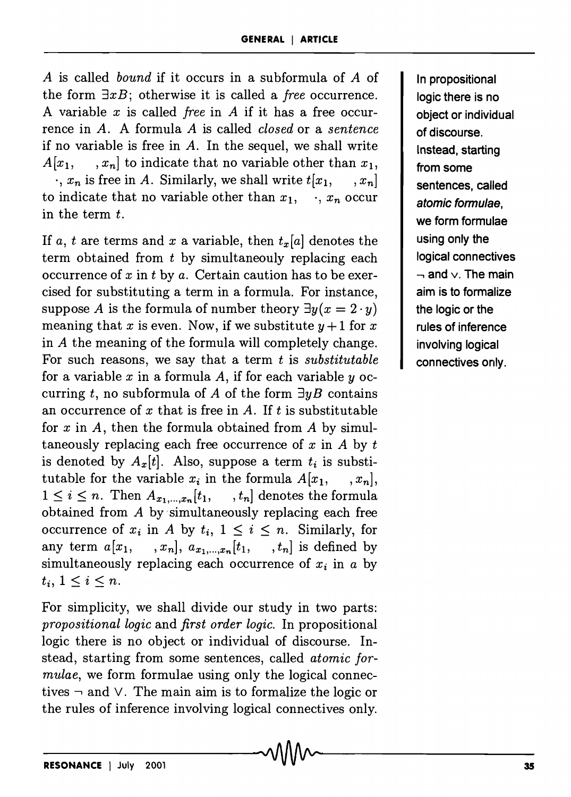*A* is called *bound* if it occurs in a su bformula of *A* of the form *3xB;* otherwise it is called a *free* occurrence. A variable *x* is called *free* in *A* if it has a free occurrence in *A.* A formula *A* is called *closed* or a *sentence*  if no variable is free in *A.* In the sequel, we shall write  $A[x_1, \ldots, x_n]$  to indicate that no variable other than  $x_1$ ,  $\cdot$ ,  $x_n$  is free in *A*. Similarly, we shall write  $t[x_1, \ldots, x_n]$ to indicate that no variable other than  $x_1, \dots, x_n$  occur in the term  $t$ .

If *a, t* are terms and *x* a variable, then  $t_x[a]$  denotes the term obtained from  $t$  by simultaneouly replacing each occurrence of *x* in t by *a.* Certain caution has to be exercised for substituting a term in a formula. For instance, suppose *A* is the formula of number theory  $\exists y(x = 2 \cdot y)$ meaning that x is even. Now, if we substitute  $y + 1$  for x in *A* the meaning of the formula will completely change. For such reasons, we say that a term t is *substitutable* for a variable *x* in a formula A, if for each variable *y* occurring t, no subformula of A of the form  $\exists yB$  contains an occurrence of  $x$  that is free in  $A$ . If  $t$  is substitutable for *x* in A, then the formula obtained from A by simultaneously replacing each free occurrence of *x* in *A* by t is denoted by  $A_x[t]$ . Also, suppose a term  $t_i$  is substitutable for the variable  $x_i$  in the formula  $A[x_1, \ldots, x_n],$ <br> $1 \le i \le n$ . Then  $A_{x_1,\ldots,x_n}[t_1, \ldots, t_n]$  denotes the formula  $1 \leq i \leq n$ . Then  $A_{x_1,\dots,x_n}[t_1,$ obtained from *A* by simultaneously replacing each free occurrence of  $x_i$  in *A* by  $t_i$ ,  $1 \leq i \leq n$ . Similarly, for any term  $a[x_1, \ldots, x_n], a_{x_1, \ldots, x_n}[t_1, \ldots, t_n]$  is defined by simultaneously replacing each occurrence of  $x_i$  in  $a$  by  $t_i, 1 \leq i \leq n$ .

For simplicity, we shall divide our study in two parts: *propositional logic* and *first order logic.* In propositional logic there is no object or individual of discourse. Instead, starting from some sentences, called *atomic formulae,* we form formulae using only the logical connectives  $\neg$  and  $\vee$ . The main aim is to formalize the logic or the rules of inference involving logical connectives only.

In propositional logic there is no object or individual of discourse. Instead, starting from some sentences, called atomic formulae, we form formulae using only the logical connectives  $-$  and  $\vee$  The main aim is to formalize the logic or the rules of inference involving logical connectives only.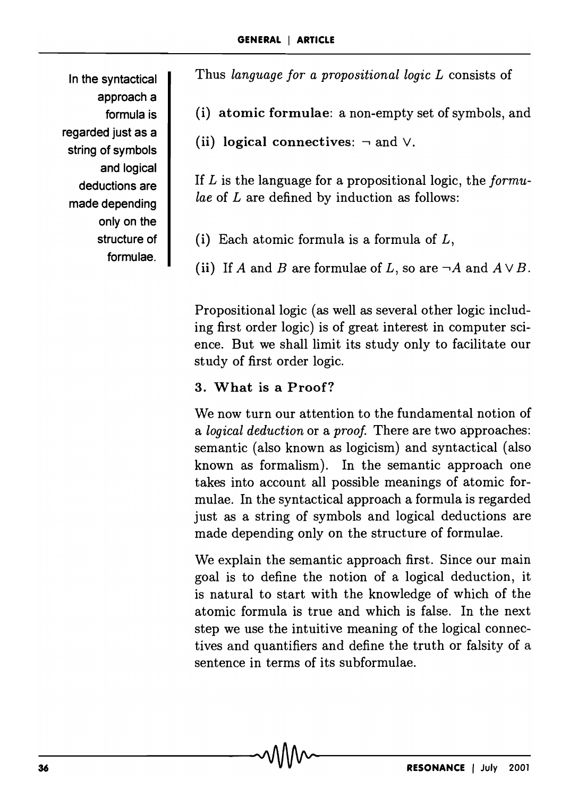In the syntactical approach a formula is regarded just as a string of symbols and logical deductions are made depending only on the structure of formulae.

Thus *language for a propositional logic L* consists of

(i) atomic formulae: a non-empty set of symbols, and

(ii) logical connectives:  $\neg$  and  $\vee$ .

If *L* is the language for a propositional logic, the *formulae* of *L* are defined by induction as follows:

(i) Each atomic formula is a formula of *L,* 

(ii) If *A* and *B* are formulae of *L*, so are  $\neg A$  and  $A \lor B$ .

Propositional logic (as well as several other logic including first order logic) is of great interest in computer science. But we shall limit its study only to facilitate our study of first order logic.

## 3. What is a Proof?

We now turn our attention to the fundamental notion of a *logical deduction* or a *proof.* There are two approaches: semantic (also known as logicism) and syntactical (also known as formalism). In the semantic approach one takes into account all possible meanings of atomic formulae. In the syntactical approach a formula is regarded just as a string of symbols and logical deductions are made depending only on the structure of formulae.

We explain the semantic approach first. Since our main goal is to define the notion of a logical deduction, it is natural to start with the knowledge of which of the atomic formula is true and which is false. In the next step we use the intuitive meaning of the logical connectives and quantifiers and define the truth or falsity of a sentence in terms of its subformulae.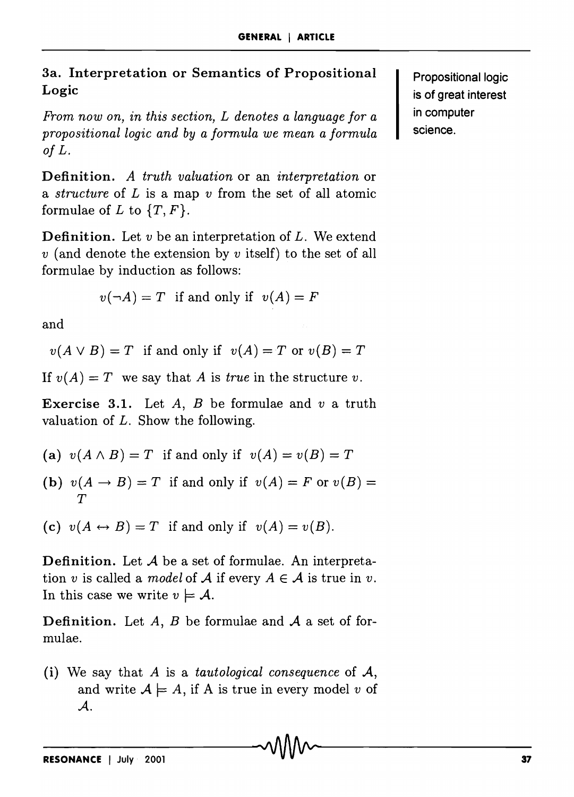3a. Interpretation or Semantics of Propositional Logic

*From now on, in this section, L denotes a language for a propositional logic and by a formula we mean a formula of L.* 

Definition. *A truth valuation* or an *interpretation* or a *structure* of *L* is a map *v* from the set of all atomic formulae of  $L$  to  $\{T, F\}$ .

Definition. Let *v* be an interpretation of *L.* We extend *v* (and denote the extension by *v* itself) to the set of all formulae by induction as follows:

$$
v(\neg A) = T
$$
 if and only if  $v(A) = F$ 

and

 $v(A \vee B) = T$  if and only if  $v(A) = T$  or  $v(B) = T$ 

If  $v(A) = T$  we say that A is *true* in the structure *v*.

Exercise 3.1. Let *A, B* be formulae and *v* a truth valuation of *L.* Show the following.

- (a)  $v(A \wedge B) = T$  if and only if  $v(A) = v(B) = T$
- (b)  $v(A \rightarrow B) = T$  if and only if  $v(A) = F$  or  $v(B) = T$ *T*

(c)  $v(A \leftrightarrow B) = T$  if and only if  $v(A) = v(B)$ .

Definition. Let *A* be a set of formulae. An interpretation *v* is called a *model* of  $A$  if every  $A \in A$  is true in *v*. In this case we write  $v \models A$ .

Definition. Let *A, B* be formulae and *A* a set of formulae.

Propositional logic is of great interest in computer science.

<sup>(</sup>i) We say that *A* is a *tautological consequence* of A, and write  $A \models A$ , if A is true in every model *v* of *A.*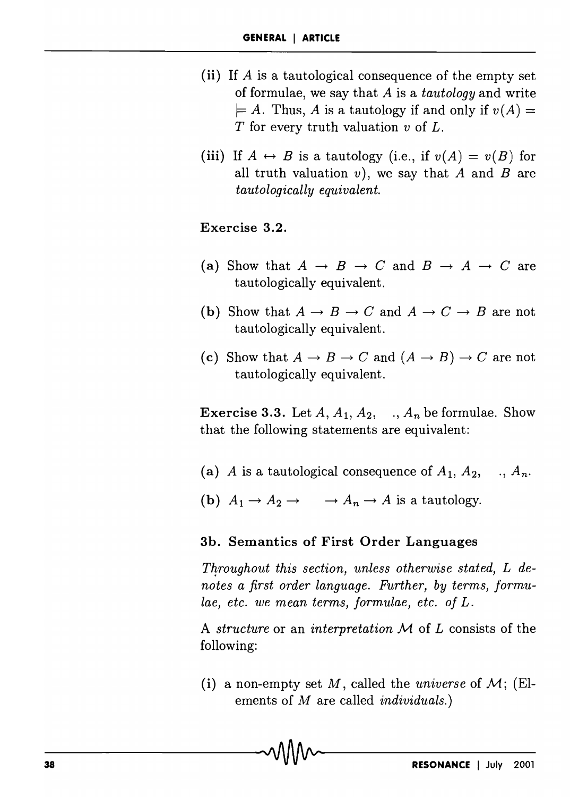- (ii) If *A* is a tautological consequence of the empty set of formulae, we say that *A* is a *tautology* and write  $\models A$ . Thus, A is a tautology if and only if  $v(A)$  = T for every truth valuation *v* of L.
- (iii) If  $A \leftrightarrow B$  is a tautology (i.e., if  $v(A) = v(B)$  for all truth valuation  $v$ ), we say that  $A$  and  $B$  are *tautologically equivalent.*

#### Exercise 3.2.

- (a) Show that  $A \rightarrow B \rightarrow C$  and  $B \rightarrow A \rightarrow C$  are tautologically equivalent.
- (b) Show that  $A \rightarrow B \rightarrow C$  and  $A \rightarrow C \rightarrow B$  are not tautologically equivalent.
- (c) Show that  $A \to B \to C$  and  $(A \to B) \to C$  are not tautologically equivalent.

**Exercise 3.3.** Let  $A$ ,  $A_1$ ,  $A_2$ , ...,  $A_n$  be formulae. Show that the following statements are equivalent:

- (a) *A* is a tautological consequence of  $A_1$ ,  $A_2$ , .,  $A_n$ .
- (b)  $A_1 \rightarrow A_2 \rightarrow \rightarrow A_n \rightarrow A$  is a tautology.

#### 3b. Semantics of First Order Languages

Throughout this section, unless otherwise stated, L de*notes a first order language. Further, by terms, formulae, etc. we mean terms, formulae, etc. of L.* 

A *structure* or an *interpretation M* of *L* consists of the following:

(i) a non-empty set M, called the *universe* of  $\mathcal{M}$ ; (Elements of *M* are called *individuals.)*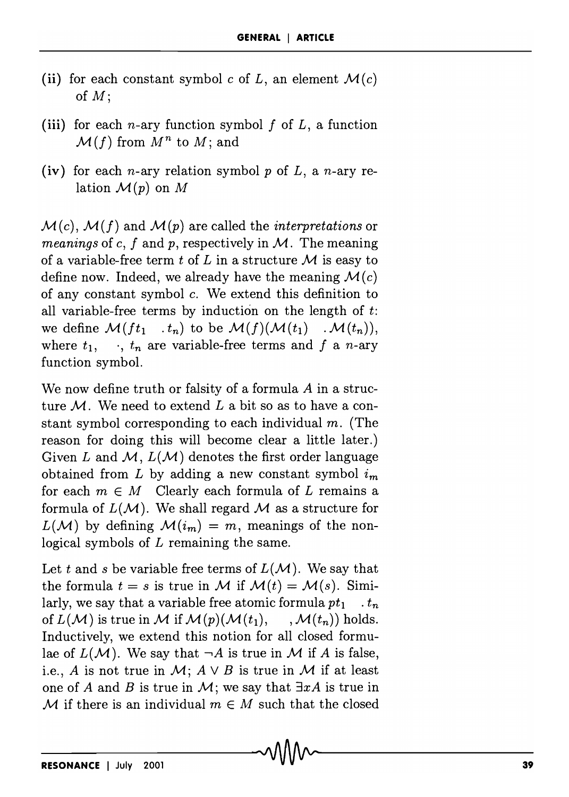- (ii) for each constant symbol c of L, an element  $\mathcal{M}(c)$ of *M;*
- (iii) for each  $n$ -ary function symbol  $f$  of  $L$ , a function  $\mathcal{M}(f)$  from  $M^n$  to  $M$ ; and
- (iv) for each n-ary relation symbol p of *L,* a n-ary relation  $\mathcal{M}(p)$  on M

 $\mathcal{M}(c)$ ,  $\mathcal{M}(f)$  and  $\mathcal{M}(p)$  are called the *interpretations* or *meanings* of c, *f* and *p,* respectively in *M.* The meaning of a variable-free term  $t$  of  $L$  in a structure  $M$  is easy to define now. Indeed, we already have the meaning  $\mathcal{M}(c)$ of any constant symbol c. We extend this definition to all variable-free terms by induction on the length of *t:*  we define  $\mathcal{M}(ft_1 \dots t_n)$  to be  $\mathcal{M}(f)(\mathcal{M}(t_1) \dots \mathcal{M}(t_n)),$ where  $t_1$ ,  $\ldots$ ,  $t_n$  are variable-free terms and f a n-ary function symbol.

We now define truth or falsity of a formula *A* in a structure *M.* We need to extend *L* a bit so as to have a constant symbol corresponding to each individual  $m$ . (The reason for doing this will become clear a little later.) Given L and  $M$ ,  $L(M)$  denotes the first order language obtained from L by adding a new constant symbol  $i_m$ for each  $m \in M$  Clearly each formula of L remains a formula of *L(M).* We shall regard *M* as a structure for  $L(\mathcal{M})$  by defining  $\mathcal{M}(i_m) = m$ , meanings of the nonlogical symbols of  $L$  remaining the same.

Let t and s be variable free terms of  $L(\mathcal{M})$ . We say that the formula  $t = s$  is true in *M* if  $M(t) = M(s)$ . Similarly, we say that a variable free atomic formula  $pt_1$ .  $t_n$ of  $L(\mathcal{M})$  is true in  $\mathcal M$  if  $\mathcal M(p)(\mathcal M(t_1), \dots, \mathcal M(t_n))$  holds. Inductively, we extend this notion for all closed formulae of  $L(M)$ . We say that  $\neg A$  is true in M if A is false, i.e., *A* is not true in *M*;  $A \vee B$  is true in *M* if at least one of *A* and *B* is true in *M*; we say that  $\exists x A$  is true in M if there is an individual  $m \in M$  such that the closed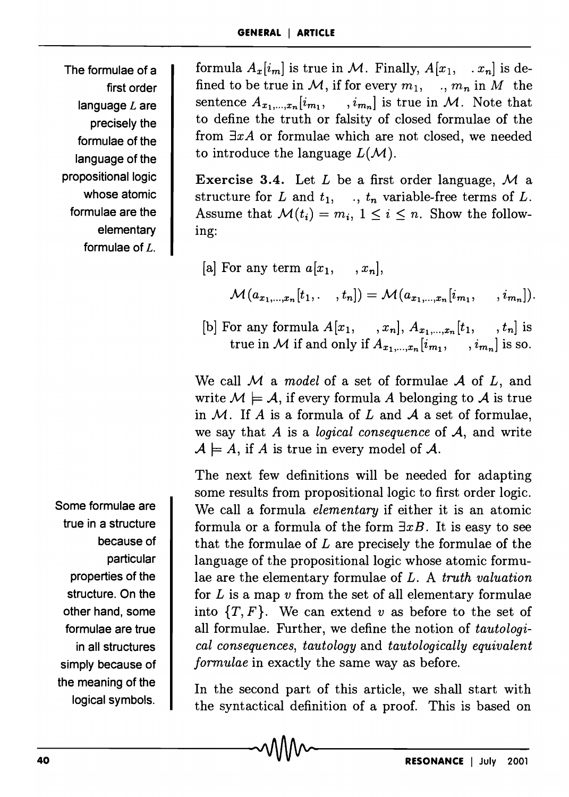The formulae of a first order language  $L$  are precisely the formulae of the language of the propositional logic whose atomic formulae are the elementary formulae of L.

Some formulae are true in a structure because of particular properties of the structure. On the other hand, some formulae are true in all structures simply because of the meaning of the logical symbols.

formula  $A_x[i_m]$  is true in M. Finally,  $A[x_1, \ldots, x_n]$  is defined to be true in M, if for every  $m_1$ , .,  $m_n$  in M the sentence  $A_{x_1,...,x_n}[i_{m_1}, \dots, i_{m_n}]$  is true in *M*. Note that to define the truth or falsity of closed formulae of the from *3xA* or formulae which are not closed, we needed to introduce the language  $L(\mathcal{M})$ .

Exercise 3.4. Let *L* be a first order language, M a structure for  $L$  and  $t_1$ , .,  $t_n$  variable-free terms of  $L$ . Assume that  $\mathcal{M}(t_i) = m_i$ ,  $1 \leq i \leq n$ . Show the following:

- [a] For any term  $a[x_1, \ldots, x_n]$ ,  $\mathcal{M}(a_{x_1,...,x_n}[t_1, ..., t_n]) = \mathcal{M}(a_{x_1,...,x_n}[i_{m_1}, ..., i_{m_n}]).$
- [b] For any formula  $A[x_1, \ldots, x_n], A_{x_1,\ldots,x_n}[t_1, \ldots, t_n]$  is true in M if and only if  $A_{x_1,...,x_n}[i_{m_1}, \dots, i_{m_n}]$  is so.

We call *M* a *model* of a set of formulae *A* of *L,* and write  $M \models A$ , if every formula A belonging to A is true in *M.* If *A* is a formula of *L* and *A* a set of formulae, we say that *A* is a *logical consequence* of *A,* and write  $\mathcal{A} \models A$ , if A is true in every model of  $\mathcal{A}$ .

The next few definitions will be needed for adapting some results from propositional logic to first order logic. We call a formula *elementary* if either it is an atomic formula or a formula of the form  $\exists xB$ . It is easy to see that the formulae of *L* are precisely the formulae of the language of the propositional logic whose atomic formulae are the elementary formulae of *L.* A *truth valuation*  for *L* is a map *v* from the set of all elementary formulae into *{T, F}.* We can extend *v* as before to the set of all formulae. Further, we define the notion of *tautological consequences, tautology* and *tautologically equivalent formulae* in exactly the same way as before.

In the second part of this article, we shall start with the syntactical definition of a proof. This is based on